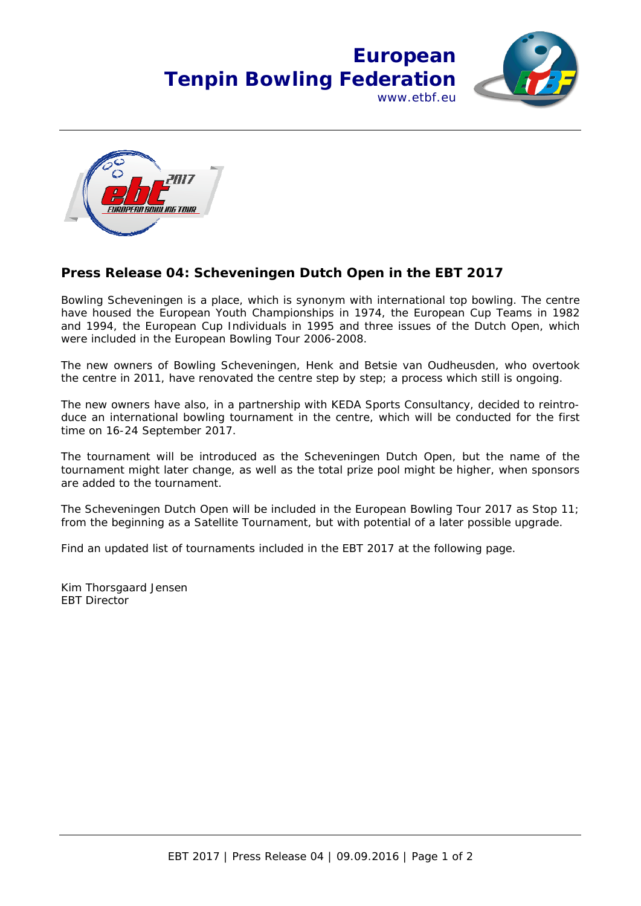



## **Press Release 04: Scheveningen Dutch Open in the EBT 2017**

Bowling Scheveningen is a place, which is synonym with international top bowling. The centre have housed the European Youth Championships in 1974, the European Cup Teams in 1982 and 1994, the European Cup Individuals in 1995 and three issues of the Dutch Open, which were included in the European Bowling Tour 2006-2008.

The new owners of Bowling Scheveningen, Henk and Betsie van Oudheusden, who overtook the centre in 2011, have renovated the centre step by step; a process which still is ongoing.

The new owners have also, in a partnership with KEDA Sports Consultancy, decided to reintroduce an international bowling tournament in the centre, which will be conducted for the first time on 16-24 September 2017.

The tournament will be introduced as the Scheveningen Dutch Open, but the name of the tournament might later change, as well as the total prize pool might be higher, when sponsors are added to the tournament.

The Scheveningen Dutch Open will be included in the European Bowling Tour 2017 as Stop 11; from the beginning as a Satellite Tournament, but with potential of a later possible upgrade.

Find an updated list of tournaments included in the EBT 2017 at the following page.

Kim Thorsgaard Jensen EBT Director